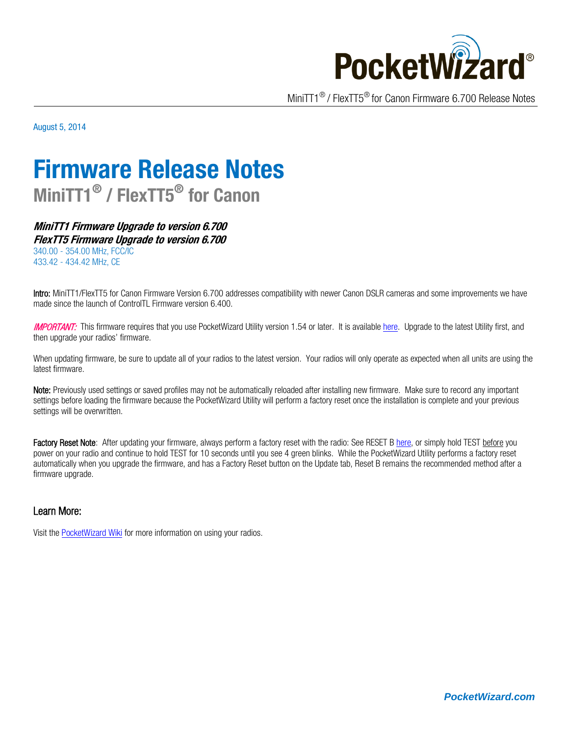

MiniTT1® / FlexTT5® for Canon Firmware 6.700 Release Notes

August 5, 2014

# **Firmware Release Notes MiniTT1® / FlexTT5® for Canon**

**MiniTT1 Firmware Upgrade to version 6.700 FlexTT5 Firmware Upgrade to version 6.700** 340.00 - 354.00 MHz, FCC/IC 433.42 - 434.42 MHz, CE

Intro: MiniTT1/FlexTT5 for Canon Firmware Version 6.700 addresses compatibility with newer Canon DSLR cameras and some improvements we have made since the launch of ControlTL Firmware version 6.400.

**IMPORTANT:** This firmware requires that you use PocketWizard Utility version 1.54 or later. It is availabl[e here.](http://www.pocketwizard.com/support/downloads/) Upgrade to the latest Utility first, and then upgrade your radios' firmware.

When updating firmware, be sure to update all of your radios to the latest version. Your radios will only operate as expected when all units are using the latest firmware.

Note: Previously used settings or saved profiles may not be automatically reloaded after installing new firmware. Make sure to record any important settings before loading the firmware because the PocketWizard Utility will perform a factory reset once the installation is complete and your previous settings will be overwritten.

Factory Reset Note: After updating your firmware, always perform a factory reset with the radio: See RESET B [here,](http://wiki.pocketwizard.com/index.php?title=Factory_Reset) or simply hold TEST before you power on your radio and continue to hold TEST for 10 seconds until you see 4 green blinks. While the PocketWizard Utility performs a factory reset automatically when you upgrade the firmware, and has a Factory Reset button on the Update tab, Reset B remains the recommended method after a firmware upgrade.

#### Learn More:

Visit th[e PocketWizard Wiki](http://wiki.pocketwizard.com/) for more information on using your radios.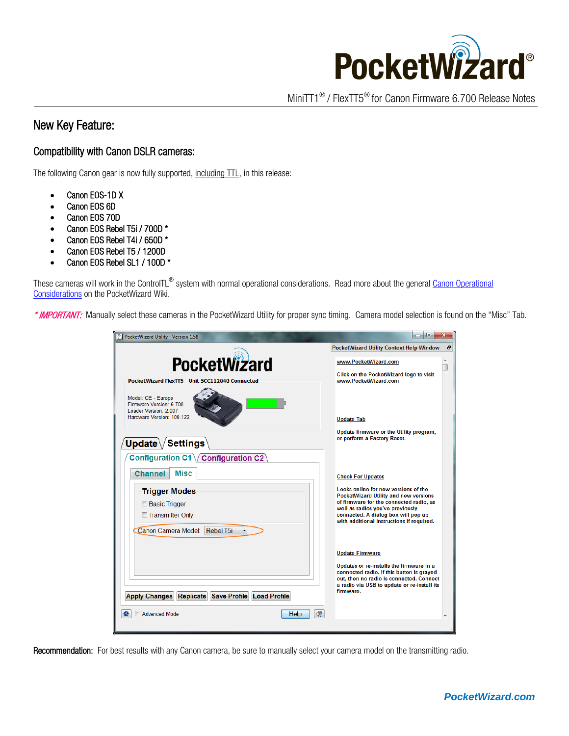

MiniTT1® / FlexTT5® for Canon Firmware 6.700 Release Notes

## New Key Feature:

### Compatibility with Canon DSLR cameras:

The following Canon gear is now fully supported, including TTL, in this release:

- Canon EOS-1D X
- Canon EOS 6D
- Canon EOS 70D
- Canon EOS Rebel T5i / 700D \*
- Canon EOS Rebel T4i / 650D \*
- Canon EOS Rebel T5 / 1200D
- Canon EOS Rebel SL1 / 100D \*

These cameras will work in the ControlTL<sup>®</sup> system with normal operational considerations. Read more about the general Canon Operational [Considerations](http://wiki.pocketwizard.com/index.php?title=Canon_Compatibility%23Operational_Notes) on the PocketWizard Wiki.

\* IMPORTANT: Manually select these cameras in the PocketWizard Utility for proper sync timing. Camera model selection is found on the "Misc" Tab.

| PocketWizard Utility - Version 1.58                                                                              | x<br>$\Box$                                                                                                                                                                                                                                             |
|------------------------------------------------------------------------------------------------------------------|---------------------------------------------------------------------------------------------------------------------------------------------------------------------------------------------------------------------------------------------------------|
|                                                                                                                  | Ð<br>PocketWizard Utility Context Help Window                                                                                                                                                                                                           |
| <b>PocketWizard</b>                                                                                              | www.PocketWizard.com                                                                                                                                                                                                                                    |
| PocketWizard FlexTT5 - Unit 5CC112840 Connected                                                                  | Click on the PocketWizard logo to visit<br>www.PocketWizard.com                                                                                                                                                                                         |
| Model: CE - Europe<br>Firmware Version: 6.700<br>Loader Version: 2.007<br>Hardware Version: 100.122              | <b>Update Tab</b>                                                                                                                                                                                                                                       |
| Update $\setminus$ Settings $\setminus$                                                                          | Update firmware or the Utility program,<br>or perform a Factory Reset.                                                                                                                                                                                  |
| Configuration C1 / Configuration C2                                                                              |                                                                                                                                                                                                                                                         |
| Misc<br><b>Channel</b>                                                                                           | <b>Check For Updates</b>                                                                                                                                                                                                                                |
| <b>Trigger Modes</b><br><b>Basic Trigger</b><br>Transmitter Only<br>Canon Camera Model: Rebel T5i                | Looks online for new versions of the<br><b>PocketWizard Utility and new versions</b><br>of firmware for the connected radio, as<br>well as radios you've previously<br>connected. A dialog box will pop up<br>with additional instructions if required. |
| <b>Apply Changes</b><br>Replicate<br><b>Save Profile Load Profile</b><br>$^{12}$<br><b>Advanced Mode</b><br>Help | <b>Update Firmware</b><br>Updates or re-installs the firmware in a<br>connected radio. If this button is grayed<br>out, then no radio is connected. Connect<br>a radio via USB to update or re-install its<br>firmware.                                 |
|                                                                                                                  |                                                                                                                                                                                                                                                         |

Recommendation: For best results with any Canon camera, be sure to manually select your camera model on the transmitting radio.